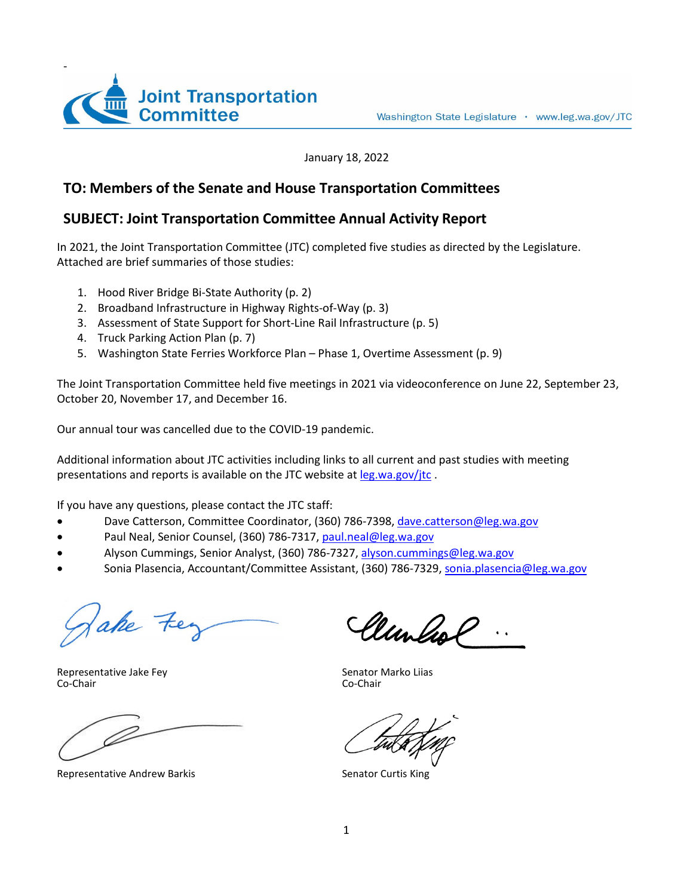

January 18, 2022

## **TO: Members of the Senate and House Transportation Committees**

### **SUBJECT: Joint Transportation Committee Annual Activity Report**

In 2021, the Joint Transportation Committee (JTC) completed five studies as directed by the Legislature. Attached are brief summaries of those studies:

- 1. Hood River Bridge Bi-State Authority (p. 2)
- 2. Broadband Infrastructure in Highway Rights-of-Way (p. 3)
- 3. Assessment of State Support for Short-Line Rail Infrastructure (p. 5)
- 4. Truck Parking Action Plan (p. 7)
- 5. Washington State Ferries Workforce Plan Phase 1, Overtime Assessment (p. 9)

The Joint Transportation Committee held five meetings in 2021 via videoconference on June 22, September 23, October 20, November 17, and December 16.

Our annual tour was cancelled due to the COVID-19 pandemic.

Additional information about JTC activities including links to all current and past studies with meeting presentations and reports is available on the JTC website at [leg.wa.gov/jtc](http://leg.wa.gov/JTC/Pages/default.aspx) .

If you have any questions, please contact the JTC staff:

- Dave Catterson, Committee Coordinator, (360) 786-7398, [dave.catterson@leg.wa.gov](mailto:dave.catterson@leg.wa.gov)
- Paul Neal, Senior Counsel, (360) 786-7317[, paul.neal@leg.wa.gov](mailto:paul.neal@leg.wa.gov)
- Alyson Cummings, Senior Analyst, (360) 786-7327, alyson.cummings@leg.wa.gov
- Sonia Plasencia, Accountant/Committee Assistant, (360) 786-7329, [sonia.plasencia@leg.wa.gov](mailto:sonia.plasencia@leg.wa.gov)

ake Fe

Representative Jake Fey<br>
Co-Chair<br>
Co-Chair<br>
Co-Chair Co-Chair Co-Chair

Representative Andrew Barkis Senator Curtis King

Clunlist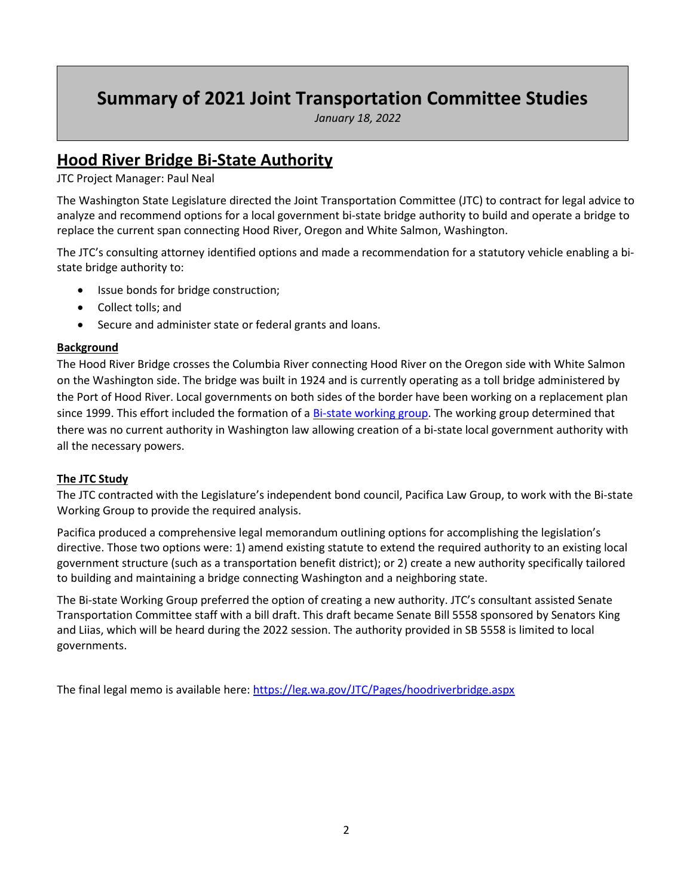# **Summary of 2021 Joint Transportation Committee Studies**

*January 18, 2022*

## **Hood River Bridge Bi-State Authority**

JTC Project Manager: Paul Neal

The Washington State Legislature directed the Joint Transportation Committee (JTC) to contract for legal advice to analyze and recommend options for a local government bi-state bridge authority to build and operate a bridge to replace the current span connecting Hood River, Oregon and White Salmon, Washington.

The JTC's consulting attorney identified options and made a recommendation for a statutory vehicle enabling a bistate bridge authority to:

- Issue bonds for bridge construction;
- Collect tolls; and
- Secure and administer state or federal grants and loans.

#### **Background**

The Hood River Bridge crosses the Columbia River connecting Hood River on the Oregon side with White Salmon on the Washington side. The bridge was built in 1924 and is currently operating as a toll bridge administered by the Port of Hood River. Local governments on both sides of the border have been working on a replacement plan since 1999. This effort included the formation of [a Bi-state working group.](https://portofhoodriver.com/bridge/bridge-replacement-bi-state-working-group-bswg/) The working group determined that there was no current authority in Washington law allowing creation of a bi-state local government authority with all the necessary powers.

#### **The JTC Study**

The JTC contracted with the Legislature's independent bond council, Pacifica Law Group, to work with the Bi-state Working Group to provide the required analysis.

Pacifica produced a comprehensive legal memorandum outlining options for accomplishing the legislation's directive. Those two options were: 1) amend existing statute to extend the required authority to an existing local government structure (such as a transportation benefit district); or 2) create a new authority specifically tailored to building and maintaining a bridge connecting Washington and a neighboring state.

The Bi-state Working Group preferred the option of creating a new authority. JTC's consultant assisted Senate Transportation Committee staff with a bill draft. This draft became Senate Bill 5558 sponsored by Senators King and Liias, which will be heard during the 2022 session. The authority provided in SB 5558 is limited to local governments.

The final legal memo is available here[: https://leg.wa.gov/JTC/Pages/hoodriverbridge.aspx](https://leg.wa.gov/JTC/Pages/hoodriverbridge.aspx)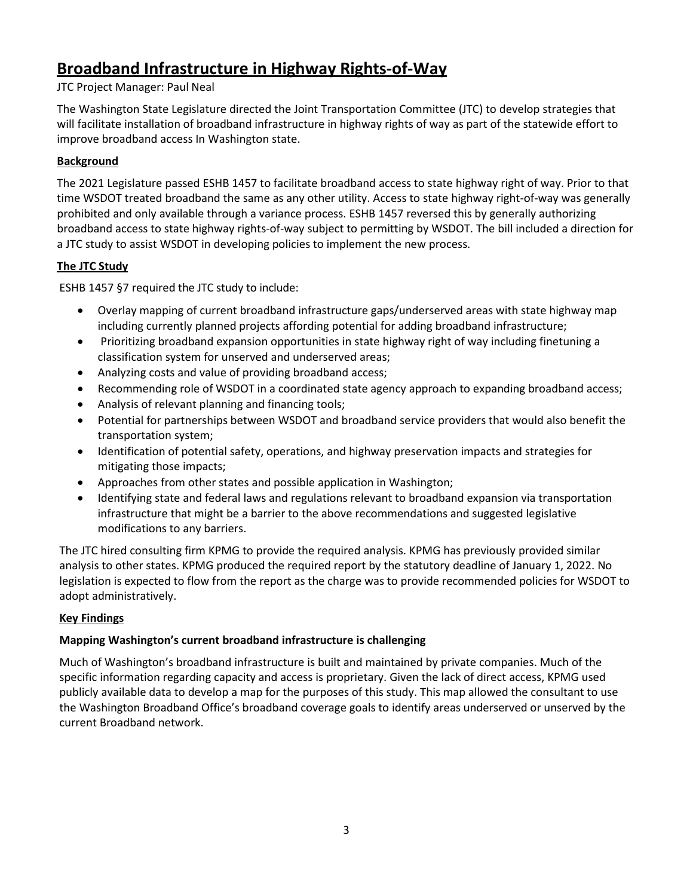## **Broadband Infrastructure in Highway Rights-of-Way**

### JTC Project Manager: Paul Neal

The Washington State Legislature directed the Joint Transportation Committee (JTC) to develop strategies that will facilitate installation of broadband infrastructure in highway rights of way as part of the statewide effort to improve broadband access In Washington state.

### **Background**

The 2021 Legislature passed ESHB 1457 to facilitate broadband access to state highway right of way. Prior to that time WSDOT treated broadband the same as any other utility. Access to state highway right-of-way was generally prohibited and only available through a variance process. ESHB 1457 reversed this by generally authorizing broadband access to state highway rights-of-way subject to permitting by WSDOT. The bill included a direction for a JTC study to assist WSDOT in developing policies to implement the new process.

### **The JTC Study**

ESHB 1457 §7 required the JTC study to include:

- Overlay mapping of current broadband infrastructure gaps/underserved areas with state highway map including currently planned projects affording potential for adding broadband infrastructure;
- Prioritizing broadband expansion opportunities in state highway right of way including finetuning a classification system for unserved and underserved areas;
- Analyzing costs and value of providing broadband access;
- Recommending role of WSDOT in a coordinated state agency approach to expanding broadband access;
- Analysis of relevant planning and financing tools;
- Potential for partnerships between WSDOT and broadband service providers that would also benefit the transportation system;
- Identification of potential safety, operations, and highway preservation impacts and strategies for mitigating those impacts;
- Approaches from other states and possible application in Washington;
- Identifying state and federal laws and regulations relevant to broadband expansion via transportation infrastructure that might be a barrier to the above recommendations and suggested legislative modifications to any barriers.

The JTC hired consulting firm KPMG to provide the required analysis. KPMG has previously provided similar analysis to other states. KPMG produced the required report by the statutory deadline of January 1, 2022. No legislation is expected to flow from the report as the charge was to provide recommended policies for WSDOT to adopt administratively.

## **Key Findings**

## **Mapping Washington's current broadband infrastructure is challenging**

Much of Washington's broadband infrastructure is built and maintained by private companies. Much of the specific information regarding capacity and access is proprietary. Given the lack of direct access, KPMG used publicly available data to develop a map for the purposes of this study. This map allowed the consultant to use the Washington Broadband Office's broadband coverage goals to identify areas underserved or unserved by the current Broadband network.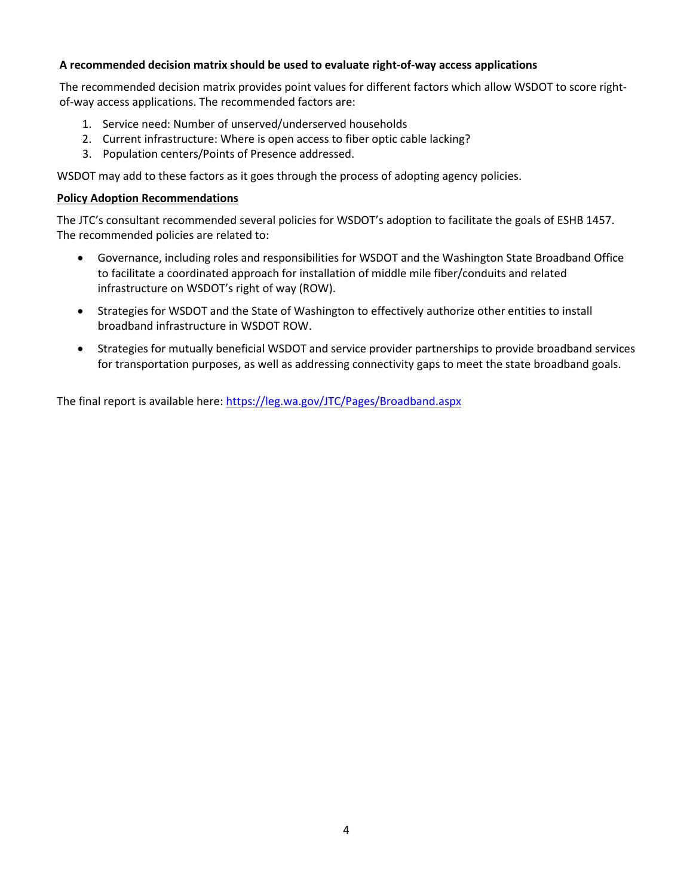#### **A recommended decision matrix should be used to evaluate right-of-way access applications**

The recommended decision matrix provides point values for different factors which allow WSDOT to score rightof-way access applications. The recommended factors are:

- 1. Service need: Number of unserved/underserved households
- 2. Current infrastructure: Where is open access to fiber optic cable lacking?
- 3. Population centers/Points of Presence addressed.

WSDOT may add to these factors as it goes through the process of adopting agency policies.

#### **Policy Adoption Recommendations**

The JTC's consultant recommended several policies for WSDOT's adoption to facilitate the goals of ESHB 1457. The recommended policies are related to:

- Governance, including roles and responsibilities for WSDOT and the Washington State Broadband Office to facilitate a coordinated approach for installation of middle mile fiber/conduits and related infrastructure on WSDOT's right of way (ROW).
- Strategies for WSDOT and the State of Washington to effectively authorize other entities to install broadband infrastructure in WSDOT ROW.
- Strategies for mutually beneficial WSDOT and service provider partnerships to provide broadband services for transportation purposes, as well as addressing connectivity gaps to meet the state broadband goals.

The final report is available here[: https://leg.wa.gov/JTC/Pages/Broadband.aspx](https://leg.wa.gov/JTC/Pages/Broadband.aspx)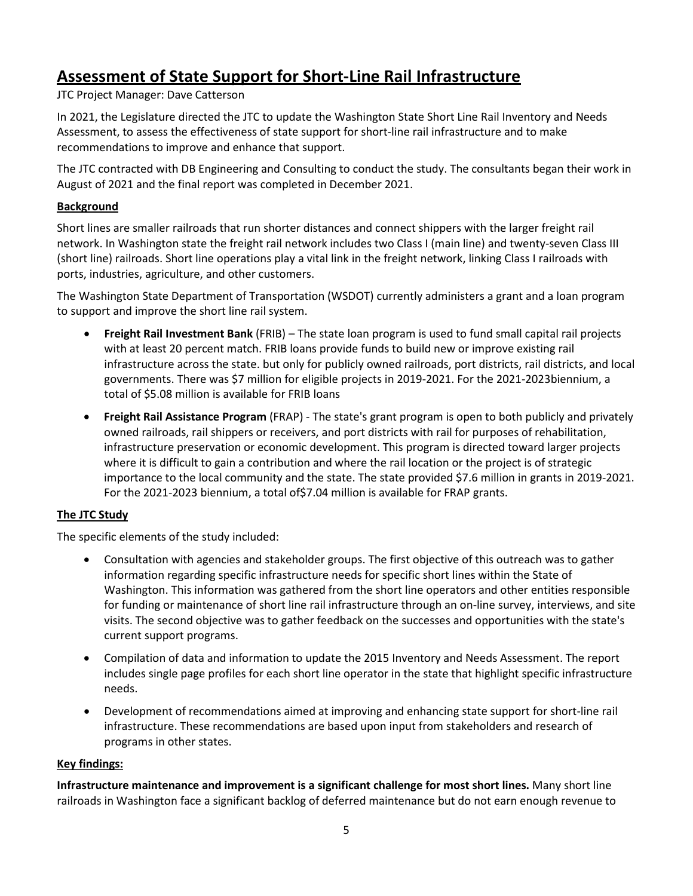## **Assessment of State Support for Short-Line Rail Infrastructure**

JTC Project Manager: Dave Catterson

In 2021, the Legislature directed the JTC to update the Washington State Short Line Rail Inventory and Needs Assessment, to assess the effectiveness of state support for short-line rail infrastructure and to make recommendations to improve and enhance that support.

The JTC contracted with DB Engineering and Consulting to conduct the study. The consultants began their work in August of 2021 and the final report was completed in December 2021.

#### **Background**

Short lines are smaller railroads that run shorter distances and connect shippers with the larger freight rail network. In Washington state the freight rail network includes two Class I (main line) and twenty-seven Class III (short line) railroads. Short line operations play a vital link in the freight network, linking Class I railroads with ports, industries, agriculture, and other customers.

The Washington State Department of Transportation (WSDOT) currently administers a grant and a loan program to support and improve the short line rail system.

- **Freight Rail Investment Bank** (FRIB) The state loan program is used to fund small capital rail projects with at least 20 percent match. FRIB loans provide funds to build new or improve existing rail infrastructure across the state. but only for publicly owned railroads, port districts, rail districts, and local governments. There was \$7 million for eligible projects in 2019-2021. For the 2021-2023biennium, a total of \$5.08 million is available for FRIB loans
- **Freight Rail Assistance Program** (FRAP) The state's grant program is open to both publicly and privately owned railroads, rail shippers or receivers, and port districts with rail for purposes of rehabilitation, infrastructure preservation or economic development. This program is directed toward larger projects where it is difficult to gain a contribution and where the rail location or the project is of strategic importance to the local community and the state. The state provided \$7.6 million in grants in 2019-2021. For the 2021-2023 biennium, a total of\$7.04 million is available for FRAP grants.

#### **The JTC Study**

The specific elements of the study included:

- Consultation with agencies and stakeholder groups. The first objective of this outreach was to gather information regarding specific infrastructure needs for specific short lines within the State of Washington. This information was gathered from the short line operators and other entities responsible for funding or maintenance of short line rail infrastructure through an on-line survey, interviews, and site visits. The second objective was to gather feedback on the successes and opportunities with the state's current support programs.
- Compilation of data and information to update the 2015 Inventory and Needs Assessment. The report includes single page profiles for each short line operator in the state that highlight specific infrastructure needs.
- Development of recommendations aimed at improving and enhancing state support for short-line rail infrastructure. These recommendations are based upon input from stakeholders and research of programs in other states.

#### **Key findings:**

**Infrastructure maintenance and improvement is a significant challenge for most short lines.** Many short line railroads in Washington face a significant backlog of deferred maintenance but do not earn enough revenue to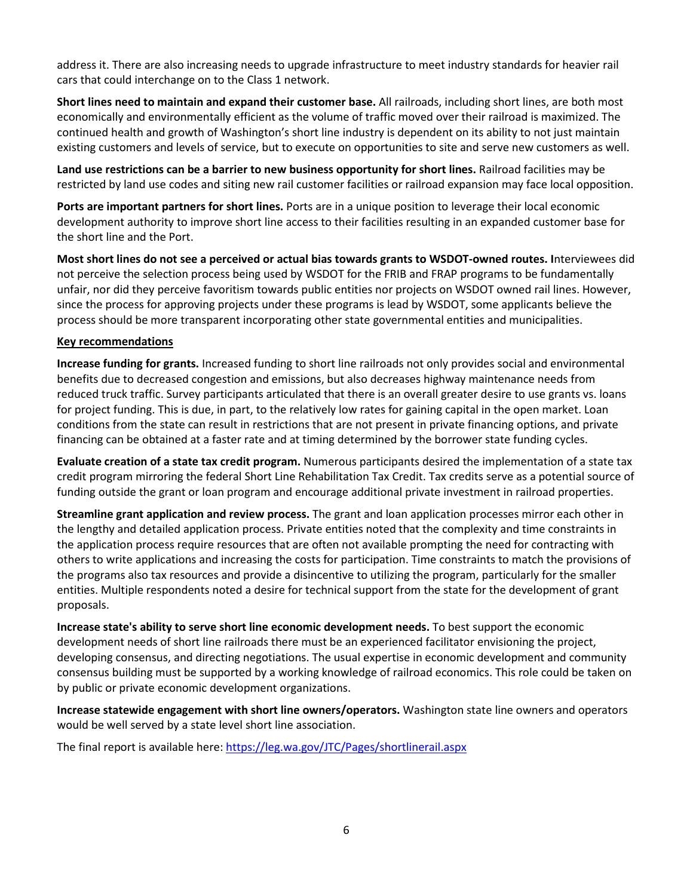address it. There are also increasing needs to upgrade infrastructure to meet industry standards for heavier rail cars that could interchange on to the Class 1 network.

**Short lines need to maintain and expand their customer base.** All railroads, including short lines, are both most economically and environmentally efficient as the volume of traffic moved over their railroad is maximized. The continued health and growth of Washington's short line industry is dependent on its ability to not just maintain existing customers and levels of service, but to execute on opportunities to site and serve new customers as well.

**Land use restrictions can be a barrier to new business opportunity for short lines.** Railroad facilities may be restricted by land use codes and siting new rail customer facilities or railroad expansion may face local opposition.

**Ports are important partners for short lines.** Ports are in a unique position to leverage their local economic development authority to improve short line access to their facilities resulting in an expanded customer base for the short line and the Port.

**Most short lines do not see a perceived or actual bias towards grants to WSDOT-owned routes. I**nterviewees did not perceive the selection process being used by WSDOT for the FRIB and FRAP programs to be fundamentally unfair, nor did they perceive favoritism towards public entities nor projects on WSDOT owned rail lines. However, since the process for approving projects under these programs is lead by WSDOT, some applicants believe the process should be more transparent incorporating other state governmental entities and municipalities.

#### **Key recommendations**

**Increase funding for grants.** Increased funding to short line railroads not only provides social and environmental benefits due to decreased congestion and emissions, but also decreases highway maintenance needs from reduced truck traffic. Survey participants articulated that there is an overall greater desire to use grants vs. loans for project funding. This is due, in part, to the relatively low rates for gaining capital in the open market. Loan conditions from the state can result in restrictions that are not present in private financing options, and private financing can be obtained at a faster rate and at timing determined by the borrower state funding cycles.

**Evaluate creation of a state tax credit program.** Numerous participants desired the implementation of a state tax credit program mirroring the federal Short Line Rehabilitation Tax Credit. Tax credits serve as a potential source of funding outside the grant or loan program and encourage additional private investment in railroad properties.

**Streamline grant application and review process.** The grant and loan application processes mirror each other in the lengthy and detailed application process. Private entities noted that the complexity and time constraints in the application process require resources that are often not available prompting the need for contracting with others to write applications and increasing the costs for participation. Time constraints to match the provisions of the programs also tax resources and provide a disincentive to utilizing the program, particularly for the smaller entities. Multiple respondents noted a desire for technical support from the state for the development of grant proposals.

**Increase state's ability to serve short line economic development needs.** To best support the economic development needs of short line railroads there must be an experienced facilitator envisioning the project, developing consensus, and directing negotiations. The usual expertise in economic development and community consensus building must be supported by a working knowledge of railroad economics. This role could be taken on by public or private economic development organizations.

**Increase statewide engagement with short line owners/operators.** Washington state line owners and operators would be well served by a state level short line association.

The final report is available here[: https://leg.wa.gov/JTC/Pages/shortlinerail.aspx](https://leg.wa.gov/JTC/Pages/shortlinerail.aspx)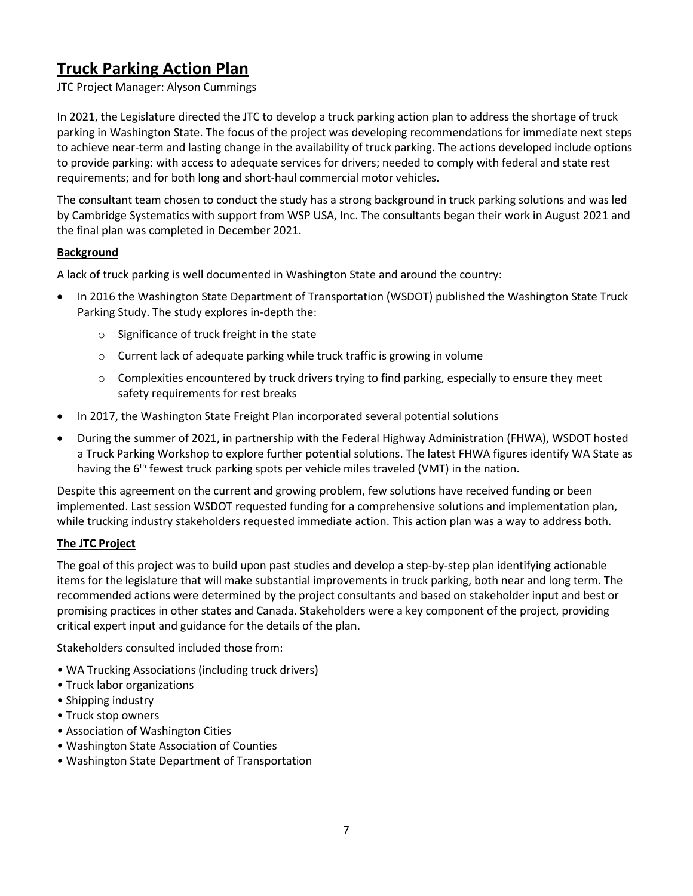## **Truck Parking Action Plan**

JTC Project Manager: Alyson Cummings

In 2021, the Legislature directed the JTC to develop a truck parking action plan to address the shortage of truck parking in Washington State. The focus of the project was developing recommendations for immediate next steps to achieve near-term and lasting change in the availability of truck parking. The actions developed include options to provide parking: with access to adequate services for drivers; needed to comply with federal and state rest requirements; and for both long and short-haul commercial motor vehicles.

The consultant team chosen to conduct the study has a strong background in truck parking solutions and was led by Cambridge Systematics with support from WSP USA, Inc. The consultants began their work in August 2021 and the final plan was completed in December 2021.

#### **Background**

A lack of truck parking is well documented in Washington State and around the country:

- In 2016 the Washington State Department of Transportation (WSDOT) published the Washington State Truck Parking Study. The study explores in-depth the:
	- o Significance of truck freight in the state
	- o Current lack of adequate parking while truck traffic is growing in volume
	- $\circ$  Complexities encountered by truck drivers trying to find parking, especially to ensure they meet safety requirements for rest breaks
- In 2017, the Washington State Freight Plan incorporated several potential solutions
- During the summer of 2021, in partnership with the Federal Highway Administration (FHWA), WSDOT hosted a Truck Parking Workshop to explore further potential solutions. The latest FHWA figures identify WA State as having the  $6<sup>th</sup>$  fewest truck parking spots per vehicle miles traveled (VMT) in the nation.

Despite this agreement on the current and growing problem, few solutions have received funding or been implemented. Last session WSDOT requested funding for a comprehensive solutions and implementation plan, while trucking industry stakeholders requested immediate action. This action plan was a way to address both.

#### **The JTC Project**

The goal of this project was to build upon past studies and develop a step-by-step plan identifying actionable items for the legislature that will make substantial improvements in truck parking, both near and long term. The recommended actions were determined by the project consultants and based on stakeholder input and best or promising practices in other states and Canada. Stakeholders were a key component of the project, providing critical expert input and guidance for the details of the plan.

Stakeholders consulted included those from:

- WA Trucking Associations (including truck drivers)
- Truck labor organizations
- Shipping industry
- Truck stop owners
- Association of Washington Cities
- Washington State Association of Counties
- Washington State Department of Transportation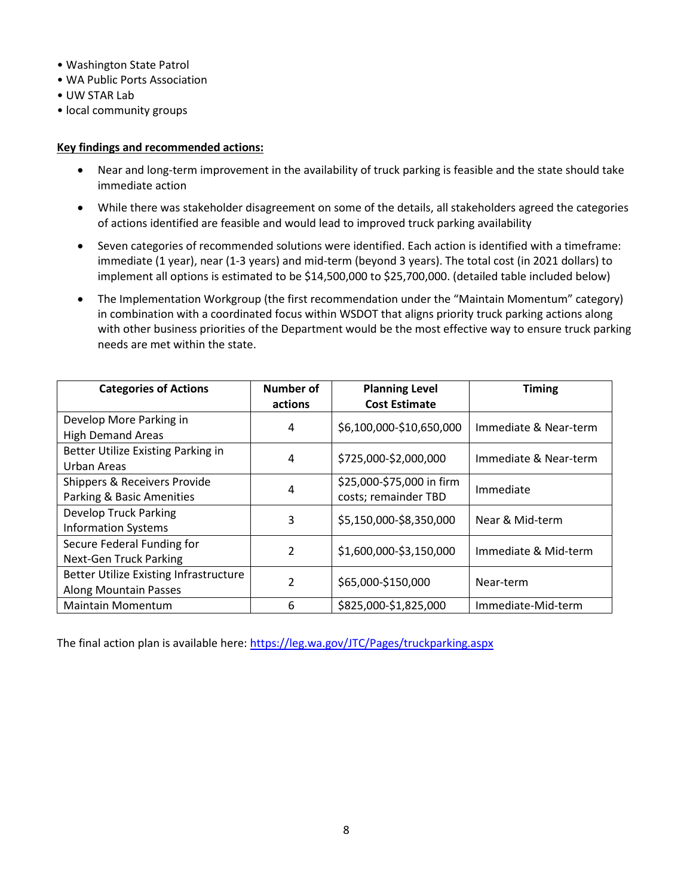- Washington State Patrol
- WA Public Ports Association
- UW STAR Lab
- local community groups

#### **Key findings and recommended actions:**

- Near and long-term improvement in the availability of truck parking is feasible and the state should take immediate action
- While there was stakeholder disagreement on some of the details, all stakeholders agreed the categories of actions identified are feasible and would lead to improved truck parking availability
- Seven categories of recommended solutions were identified. Each action is identified with a timeframe: immediate (1 year), near (1-3 years) and mid-term (beyond 3 years). The total cost (in 2021 dollars) to implement all options is estimated to be \$14,500,000 to \$25,700,000. (detailed table included below)
- The Implementation Workgroup (the first recommendation under the "Maintain Momentum" category) in combination with a coordinated focus within WSDOT that aligns priority truck parking actions along with other business priorities of the Department would be the most effective way to ensure truck parking needs are met within the state.

| <b>Categories of Actions</b>           | Number of      | <b>Planning Level</b>     | <b>Timing</b>         |
|----------------------------------------|----------------|---------------------------|-----------------------|
|                                        | actions        | <b>Cost Estimate</b>      |                       |
| Develop More Parking in                |                | \$6,100,000-\$10,650,000  |                       |
| <b>High Demand Areas</b>               | 4              |                           | Immediate & Near-term |
| Better Utilize Existing Parking in     | 4              | \$725,000-\$2,000,000     | Immediate & Near-term |
| Urban Areas                            |                |                           |                       |
| Shippers & Receivers Provide           | 4              | \$25,000-\$75,000 in firm | Immediate             |
| Parking & Basic Amenities              |                | costs; remainder TBD      |                       |
| <b>Develop Truck Parking</b>           | 3              | \$5,150,000-\$8,350,000   | Near & Mid-term       |
| <b>Information Systems</b>             |                |                           |                       |
| Secure Federal Funding for             | $\mathfrak{p}$ | \$1,600,000-\$3,150,000   | Immediate & Mid-term  |
| <b>Next-Gen Truck Parking</b>          |                |                           |                       |
| Better Utilize Existing Infrastructure | $\mathfrak{p}$ | \$65,000-\$150,000        | Near-term             |
| Along Mountain Passes                  |                |                           |                       |
| <b>Maintain Momentum</b>               | 6              | \$825,000-\$1,825,000     | Immediate-Mid-term    |

The final action plan is available here:<https://leg.wa.gov/JTC/Pages/truckparking.aspx>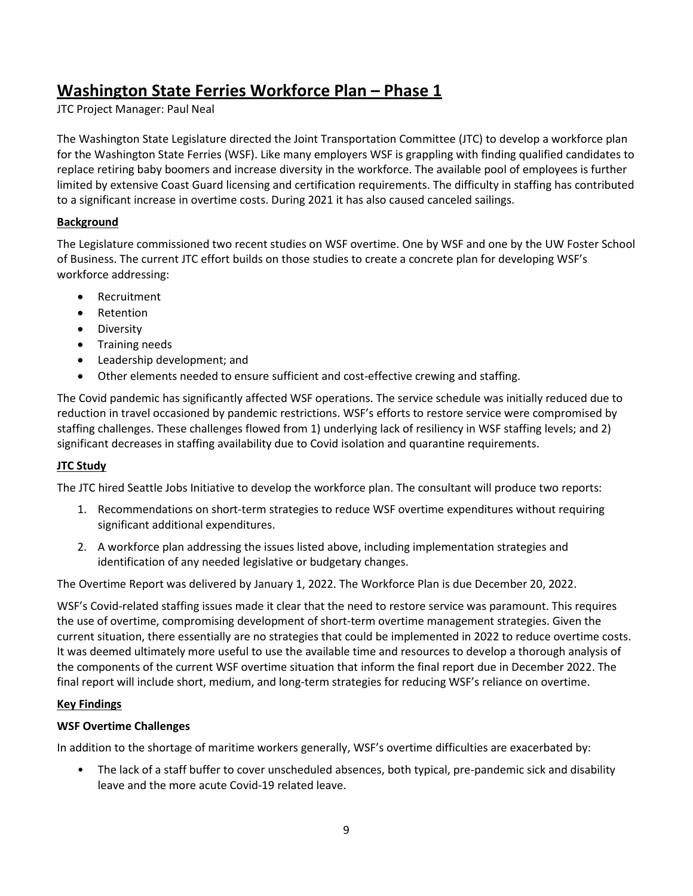## **Washington State Ferries Workforce Plan – Phase 1**

JTC Project Manager: Paul Neal

The Washington State Legislature directed the Joint Transportation Committee (JTC) to develop a workforce plan for the Washington State Ferries (WSF). Like many employers WSF is grappling with finding qualified candidates to replace retiring baby boomers and increase diversity in the workforce. The available pool of employees is further limited by extensive Coast Guard licensing and certification requirements. The difficulty in staffing has contributed to a significant increase in overtime costs. During 2021 it has also caused canceled sailings.

### **Background**

The Legislature commissioned two recent studies on WSF overtime. One by WSF and one by the UW Foster School of Business. The current JTC effort builds on those studies to create a concrete plan for developing WSF's workforce addressing:

- Recruitment
- Retention
- Diversity
- Training needs
- Leadership development; and
- Other elements needed to ensure sufficient and cost-effective crewing and staffing.

The Covid pandemic has significantly affected WSF operations. The service schedule was initially reduced due to reduction in travel occasioned by pandemic restrictions. WSF's efforts to restore service were compromised by staffing challenges. These challenges flowed from 1) underlying lack of resiliency in WSF staffing levels; and 2) significant decreases in staffing availability due to Covid isolation and quarantine requirements.

#### **JTC Study**

The JTC hired Seattle Jobs Initiative to develop the workforce plan. The consultant will produce two reports:

- 1. Recommendations on short-term strategies to reduce WSF overtime expenditures without requiring significant additional expenditures.
- 2. A workforce plan addressing the issues listed above, including implementation strategies and identification of any needed legislative or budgetary changes.

The Overtime Report was delivered by January 1, 2022. The Workforce Plan is due December 20, 2022.

WSF's Covid-related staffing issues made it clear that the need to restore service was paramount. This requires the use of overtime, compromising development of short-term overtime management strategies. Given the current situation, there essentially are no strategies that could be implemented in 2022 to reduce overtime costs. It was deemed ultimately more useful to use the available time and resources to develop a thorough analysis of the components of the current WSF overtime situation that inform the final report due in December 2022. The final report will include short, medium, and long-term strategies for reducing WSF's reliance on overtime.

#### **Key Findings**

#### **WSF Overtime Challenges**

In addition to the shortage of maritime workers generally, WSF's overtime difficulties are exacerbated by:

• The lack of a staff buffer to cover unscheduled absences, both typical, pre-pandemic sick and disability leave and the more acute Covid-19 related leave.